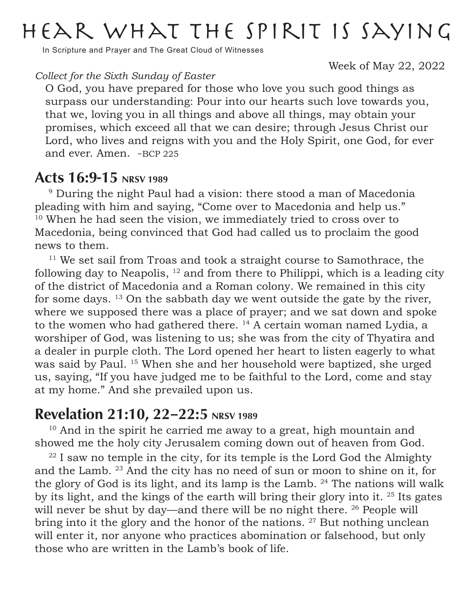## Hear what the Spirit is saying

In Scripture and Prayer and The Great Cloud of Witnesses

Week of May 22, 2022

#### *Collect for the Sixth Sunday of Easter*

O God, you have prepared for those who love you such good things as surpass our understanding: Pour into our hearts such love towards you, that we, loving you in all things and above all things, may obtain your promises, which exceed all that we can desire; through Jesus Christ our Lord, who lives and reigns with you and the Holy Spirit, one God, for ever and ever. Amen. ~BCP 225

### Acts 16:9-15 NRSV 1989

<sup>9</sup> During the night Paul had a vision: there stood a man of Macedonia pleading with him and saying, "Come over to Macedonia and help us." <sup>10</sup> When he had seen the vision, we immediately tried to cross over to Macedonia, being convinced that God had called us to proclaim the good news to them.

<sup>11</sup> We set sail from Troas and took a straight course to Samothrace, the following day to Neapolis,  $12$  and from there to Philippi, which is a leading city of the district of Macedonia and a Roman colony. We remained in this city for some days.  $13$  On the sabbath day we went outside the gate by the river, where we supposed there was a place of prayer; and we sat down and spoke to the women who had gathered there. 14 A certain woman named Lydia, a worshiper of God, was listening to us; she was from the city of Thyatira and a dealer in purple cloth. The Lord opened her heart to listen eagerly to what was said by Paul. 15 When she and her household were baptized, she urged us, saying, "If you have judged me to be faithful to the Lord, come and stay at my home." And she prevailed upon us.

### Revelation 21:10, 22-22:5 NRSV 1989

<sup>10</sup> And in the spirit he carried me away to a great, high mountain and showed me the holy city Jerusalem coming down out of heaven from God.

 $22$  I saw no temple in the city, for its temple is the Lord God the Almighty and the Lamb. 23 And the city has no need of sun or moon to shine on it, for the glory of God is its light, and its lamp is the Lamb.  $24$  The nations will walk by its light, and the kings of the earth will bring their glory into it. 25 Its gates will never be shut by day—and there will be no night there. <sup>26</sup> People will bring into it the glory and the honor of the nations. <sup>27</sup> But nothing unclean will enter it, nor anyone who practices abomination or falsehood, but only those who are written in the Lamb's book of life.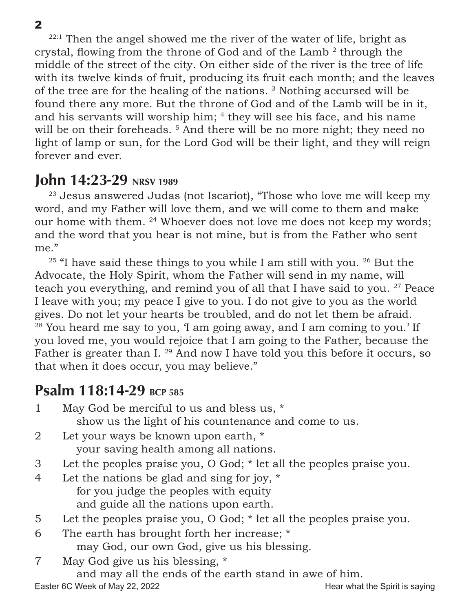$22:1$  Then the angel showed me the river of the water of life, bright as crystal, flowing from the throne of God and of the Lamb<sup>2</sup> through the middle of the street of the city. On either side of the river is the tree of life with its twelve kinds of fruit, producing its fruit each month; and the leaves of the tree are for the healing of the nations. 3 Nothing accursed will be found there any more. But the throne of God and of the Lamb will be in it, and his servants will worship him; <sup>4</sup> they will see his face, and his name will be on their foreheads.<sup>5</sup> And there will be no more night; they need no light of lamp or sun, for the Lord God will be their light, and they will reign forever and ever.

### **John 14:23-29** NRSV 1989

<sup>23</sup> Jesus answered Judas (not Iscariot), "Those who love me will keep my word, and my Father will love them, and we will come to them and make our home with them. 24 Whoever does not love me does not keep my words; and the word that you hear is not mine, but is from the Father who sent me."

 $25$  "I have said these things to you while I am still with you.  $26$  But the Advocate, the Holy Spirit, whom the Father will send in my name, will teach you everything, and remind you of all that I have said to you. <sup>27</sup> Peace I leave with you; my peace I give to you. I do not give to you as the world gives. Do not let your hearts be troubled, and do not let them be afraid. <sup>28</sup> You heard me say to you, 'I am going away, and I am coming to you.' If you loved me, you would rejoice that I am going to the Father, because the Father is greater than I.<sup>29</sup> And now I have told you this before it occurs, so that when it does occur, you may believe."

## Psalm 118:14-29 BCP 585

|   | May God be merciful to us and bless us, *                            |
|---|----------------------------------------------------------------------|
|   | show us the light of his countenance and come to us.                 |
| 2 | Let your ways be known upon earth, *                                 |
|   | your saving health among all nations.                                |
| 3 | Let the peoples praise you, O God; * let all the peoples praise you. |
| 4 | Let the nations be glad and sing for joy, $*$                        |
|   | for you judge the peoples with equity                                |
|   | and guide all the nations upon earth.                                |
| 5 | Let the peoples praise you, O God; * let all the peoples praise you. |
| 6 | The earth has brought forth her increase; *                          |
|   | may God, our own God, give us his blessing.                          |

7 May God give us his blessing, \*

and may all the ends of the earth stand in awe of him.

Easter 6C Week of May 22, 2022 **Hear what the Spirit is saying**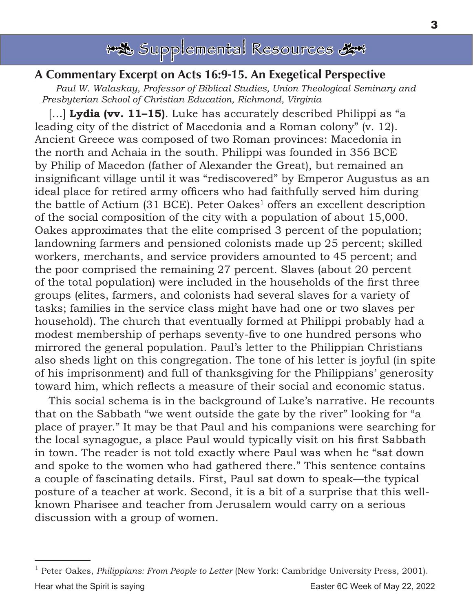

### A Commentary Excerpt on Acts 16:9-15. An Exegetical Perspective

*Paul W. Walaskay, Professor of Biblical Studies, Union Theological Seminary and Presbyterian School of Christian Education, Richmond, Virginia* 

[…] **Lydia (vv. 11–15)**. Luke has accurately described Philippi as "a leading city of the district of Macedonia and a Roman colony" (v. 12). Ancient Greece was composed of two Roman provinces: Macedonia in the north and Achaia in the south. Philippi was founded in 356 BCE by Philip of Macedon (father of Alexander the Great), but remained an insignificant village until it was "rediscovered" by Emperor Augustus as an ideal place for retired army officers who had faithfully served him during the battle of Actium  $(31 \text{ BCE})$ . Peter Oakes<sup>1</sup> offers an excellent description of the social composition of the city with a population of about 15,000. Oakes approximates that the elite comprised 3 percent of the population; landowning farmers and pensioned colonists made up 25 percent; skilled workers, merchants, and service providers amounted to 45 percent; and the poor comprised the remaining 27 percent. Slaves (about 20 percent of the total population) were included in the households of the first three groups (elites, farmers, and colonists had several slaves for a variety of tasks; families in the service class might have had one or two slaves per household). The church that eventually formed at Philippi probably had a modest membership of perhaps seventy-five to one hundred persons who mirrored the general population. Paul's letter to the Philippian Christians also sheds light on this congregation. The tone of his letter is joyful (in spite of his imprisonment) and full of thanksgiving for the Philippians' generosity toward him, which reflects a measure of their social and economic status.

This social schema is in the background of Luke's narrative. He recounts that on the Sabbath "we went outside the gate by the river" looking for "a place of prayer." It may be that Paul and his companions were searching for the local synagogue, a place Paul would typically visit on his first Sabbath in town. The reader is not told exactly where Paul was when he "sat down and spoke to the women who had gathered there." This sentence contains a couple of fascinating details. First, Paul sat down to speak—the typical posture of a teacher at work. Second, it is a bit of a surprise that this wellknown Pharisee and teacher from Jerusalem would carry on a serious discussion with a group of women.

Hear what the Spirit is saying Easter 6C Week of May 22, 2022 1 Peter Oakes, *Philippians: From People to Letter* (New York: Cambridge University Press, 2001).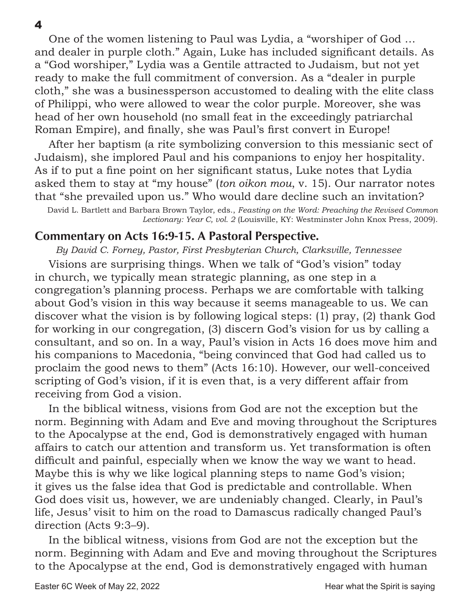One of the women listening to Paul was Lydia, a "worshiper of God … and dealer in purple cloth." Again, Luke has included significant details. As a "God worshiper," Lydia was a Gentile attracted to Judaism, but not yet ready to make the full commitment of conversion. As a "dealer in purple cloth," she was a businessperson accustomed to dealing with the elite class of Philippi, who were allowed to wear the color purple. Moreover, she was head of her own household (no small feat in the exceedingly patriarchal Roman Empire), and finally, she was Paul's first convert in Europe!

After her baptism (a rite symbolizing conversion to this messianic sect of Judaism), she implored Paul and his companions to enjoy her hospitality. As if to put a fine point on her significant status, Luke notes that Lydia asked them to stay at "my house" (*ton oikon mou*, v. 15). Our narrator notes that "she prevailed upon us." Who would dare decline such an invitation?

David L. Bartlett and Barbara Brown Taylor, eds., *Feasting on the Word: Preaching the Revised Common Lectionary: Year C, vol. 2* (Louisville, KY: Westminster John Knox Press, 2009).

### Commentary on Acts 16:9-15. A Pastoral Perspective.

*By David C. Forney, Pastor, First Presbyterian Church, Clarksville, Tennessee* Visions are surprising things. When we talk of "God's vision" today in church, we typically mean strategic planning, as one step in a congregation's planning process. Perhaps we are comfortable with talking about God's vision in this way because it seems manageable to us. We can discover what the vision is by following logical steps: (1) pray, (2) thank God for working in our congregation, (3) discern God's vision for us by calling a consultant, and so on. In a way, Paul's vision in Acts 16 does move him and his companions to Macedonia, "being convinced that God had called us to proclaim the good news to them" (Acts 16:10). However, our well-conceived scripting of God's vision, if it is even that, is a very different affair from receiving from God a vision.

In the biblical witness, visions from God are not the exception but the norm. Beginning with Adam and Eve and moving throughout the Scriptures to the Apocalypse at the end, God is demonstratively engaged with human affairs to catch our attention and transform us. Yet transformation is often difficult and painful, especially when we know the way we want to head. Maybe this is why we like logical planning steps to name God's vision; it gives us the false idea that God is predictable and controllable. When God does visit us, however, we are undeniably changed. Clearly, in Paul's life, Jesus' visit to him on the road to Damascus radically changed Paul's direction (Acts 9:3–9).

In the biblical witness, visions from God are not the exception but the norm. Beginning with Adam and Eve and moving throughout the Scriptures to the Apocalypse at the end, God is demonstratively engaged with human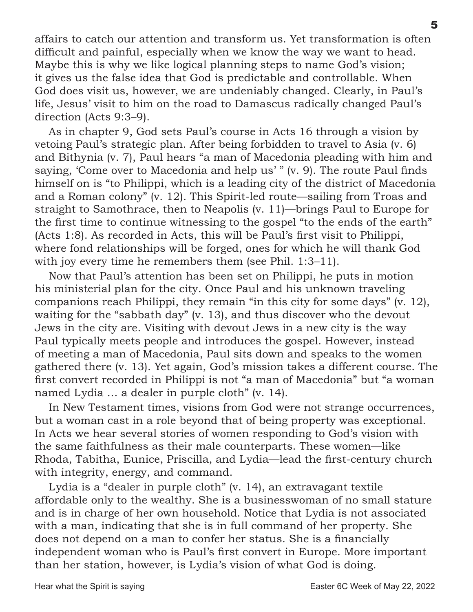affairs to catch our attention and transform us. Yet transformation is often difficult and painful, especially when we know the way we want to head. Maybe this is why we like logical planning steps to name God's vision; it gives us the false idea that God is predictable and controllable. When God does visit us, however, we are undeniably changed. Clearly, in Paul's life, Jesus' visit to him on the road to Damascus radically changed Paul's direction (Acts 9:3–9).

As in chapter 9, God sets Paul's course in Acts 16 through a vision by vetoing Paul's strategic plan. After being forbidden to travel to Asia (v. 6) and Bithynia (v. 7), Paul hears "a man of Macedonia pleading with him and saying, 'Come over to Macedonia and help us' " (v. 9). The route Paul finds himself on is "to Philippi, which is a leading city of the district of Macedonia and a Roman colony" (v. 12). This Spirit-led route—sailing from Troas and straight to Samothrace, then to Neapolis (v. 11)—brings Paul to Europe for the first time to continue witnessing to the gospel "to the ends of the earth" (Acts 1:8). As recorded in Acts, this will be Paul's first visit to Philippi, where fond relationships will be forged, ones for which he will thank God with joy every time he remembers them (see Phil. 1:3–11).

Now that Paul's attention has been set on Philippi, he puts in motion his ministerial plan for the city. Once Paul and his unknown traveling companions reach Philippi, they remain "in this city for some days" (v. 12), waiting for the "sabbath day" (v. 13), and thus discover who the devout Jews in the city are. Visiting with devout Jews in a new city is the way Paul typically meets people and introduces the gospel. However, instead of meeting a man of Macedonia, Paul sits down and speaks to the women gathered there (v. 13). Yet again, God's mission takes a different course. The first convert recorded in Philippi is not "a man of Macedonia" but "a woman named Lydia … a dealer in purple cloth" (v. 14).

In New Testament times, visions from God were not strange occurrences, but a woman cast in a role beyond that of being property was exceptional. In Acts we hear several stories of women responding to God's vision with the same faithfulness as their male counterparts. These women—like Rhoda, Tabitha, Eunice, Priscilla, and Lydia—lead the first-century church with integrity, energy, and command.

Lydia is a "dealer in purple cloth" (v. 14), an extravagant textile affordable only to the wealthy. She is a businesswoman of no small stature and is in charge of her own household. Notice that Lydia is not associated with a man, indicating that she is in full command of her property. She does not depend on a man to confer her status. She is a financially independent woman who is Paul's first convert in Europe. More important than her station, however, is Lydia's vision of what God is doing.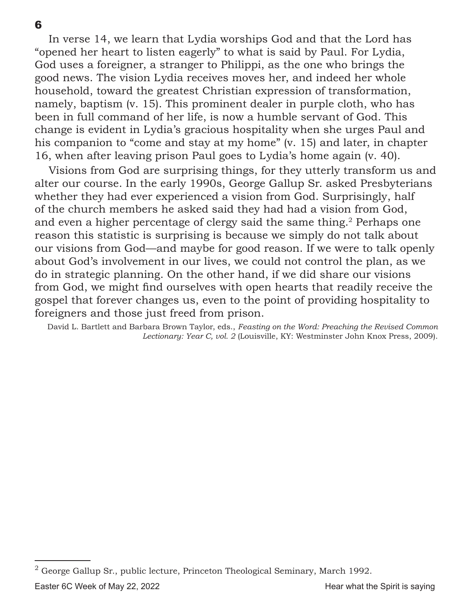In verse 14, we learn that Lydia worships God and that the Lord has "opened her heart to listen eagerly" to what is said by Paul. For Lydia, God uses a foreigner, a stranger to Philippi, as the one who brings the good news. The vision Lydia receives moves her, and indeed her whole household, toward the greatest Christian expression of transformation, namely, baptism (v. 15). This prominent dealer in purple cloth, who has been in full command of her life, is now a humble servant of God. This change is evident in Lydia's gracious hospitality when she urges Paul and his companion to "come and stay at my home" (v. 15) and later, in chapter 16, when after leaving prison Paul goes to Lydia's home again (v. 40).

Visions from God are surprising things, for they utterly transform us and alter our course. In the early 1990s, George Gallup Sr. asked Presbyterians whether they had ever experienced a vision from God. Surprisingly, half of the church members he asked said they had had a vision from God, and even a higher percentage of clergy said the same thing.<sup>2</sup> Perhaps one reason this statistic is surprising is because we simply do not talk about our visions from God—and maybe for good reason. If we were to talk openly about God's involvement in our lives, we could not control the plan, as we do in strategic planning. On the other hand, if we did share our visions from God, we might find ourselves with open hearts that readily receive the gospel that forever changes us, even to the point of providing hospitality to foreigners and those just freed from prison.

David L. Bartlett and Barbara Brown Taylor, eds., *Feasting on the Word: Preaching the Revised Common Lectionary: Year C, vol. 2* (Louisville, KY: Westminster John Knox Press, 2009).

Easter 6C Week of May 22, 2022 **Hear what the Spirit is saying** <sup>2</sup> George Gallup Sr., public lecture, Princeton Theological Seminary, March 1992.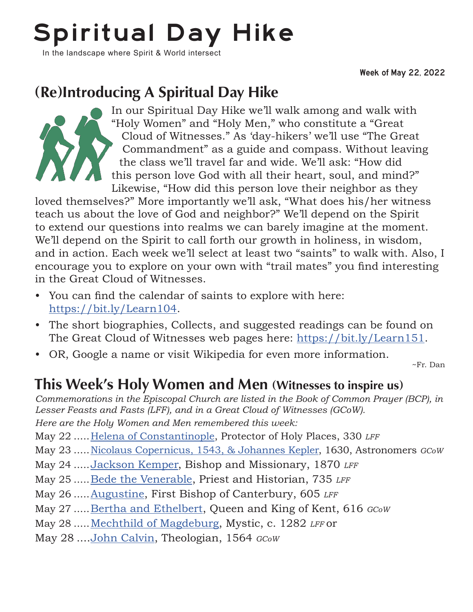# Spiritual Day Hike

In the landscape where Spirit & World intersect

Week of May 22, 2022

## (Re)Introducing A Spiritual Day Hike



In our Spiritual Day Hike we'll walk among and walk with "Holy Women" and "Holy Men," who constitute a "Great Cloud of Witnesses." As 'day-hikers' we'll use "The Great Commandment" as a guide and compass. Without leaving the class we'll travel far and wide. We'll ask: "How did this person love God with all their heart, soul, and mind?" Likewise, "How did this person love their neighbor as they

loved themselves?" More importantly we'll ask, "What does his/her witness teach us about the love of God and neighbor?" We'll depend on the Spirit to extend our questions into realms we can barely imagine at the moment. We'll depend on the Spirit to call forth our growth in holiness, in wisdom, and in action. Each week we'll select at least two "saints" to walk with. Also, I encourage you to explore on your own with "trail mates" you find interesting in the Great Cloud of Witnesses.

- You can find the calendar of saints to explore with here: [https://bit.ly/Learn104](http://bit.ly/Learn104).
- The short biographies, Collects, and suggested readings can be found on The Great Cloud of Witnesses web pages here: [https://bit.ly/Learn1](https://bit.ly/Learn151)51.
- OR, Google a name or visit Wikipedia for even more information.

~Fr. Dan

## This Week's Holy Women and Men (Witnesses to inspire us)

*Commemorations in the Episcopal Church are listed in the Book of Common Prayer (BCP), in Lesser Feasts and Fasts (LFF), and in a Great Cloud of Witnesses (GCoW). Here are the Holy Women and Men remembered this week:*

May 22 .....[Helena of Constantinople,](https://orthodoxwiki.org/Helen) Protector of Holy Places, 330 *LFF*

May 23 .....[Nicolaus Copernicus, 1543, & Johannes Kepler](https://holywomenholymen.wordpress.com/2019/05/23/may-23-copernicus-kepler/), 1630, Astronomers *GCoW*

- May 24 .....[Jackson Kemper,](https://standingcommissiononliturgyandmusic.org/2011/05/24/may-24-jackson-kemper-first-missionary-bishop-in-the-united-states-1870/) Bishop and Missionary, 1870 *LFF*
- May 25 .....[Bede the Venerable,](https://standingcommissiononliturgyandmusic.org/2011/05/25/may-25-bede-the-venerable-priest-and-monk-of-jarrow-735/) Priest and Historian, 735 *LFF*
- May 26 .....[Augustine,](https://holywomenholymen.wordpress.com/2019/05/26/may-26-augustine-of-canterbury/) First Bishop of Canterbury, 605 *LFF*
- May 27 .....[Bertha and Ethelbert](https://holywomenholymen.wordpress.com/2019/05/27/may-27-bertha-and-ethelbert/), Queen and King of Kent, 616 *GCoW*
- May 28 .....[Mechthild of Magdeburg](https://holywomenholymen.wordpress.com/2016/11/20/nov-20-mechthild-of-magdeburg/), Mystic, c. 1282 *LFF* or
- May 28 ...[.John Calvin,](https://holywomenholymen.wordpress.com/2016/05/28/may-28-john-calvin/) Theologian, 1564 *GCoW*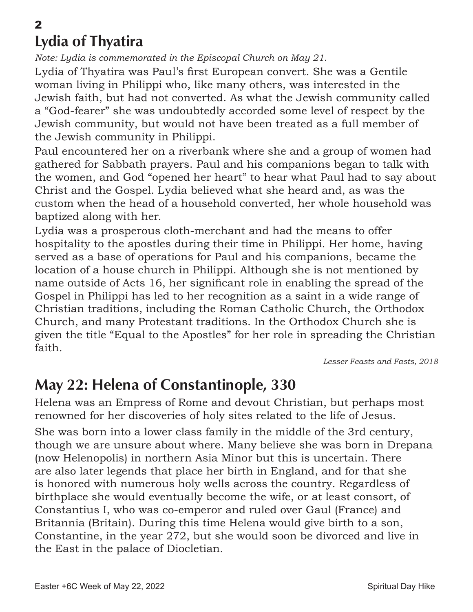### 2 Lydia of Thyatira

*Note: Lydia is commemorated in the Episcopal Church on May 21.*

Lydia of Thyatira was Paul's first European convert. She was a Gentile woman living in Philippi who, like many others, was interested in the Jewish faith, but had not converted. As what the Jewish community called a "God-fearer" she was undoubtedly accorded some level of respect by the Jewish community, but would not have been treated as a full member of the Jewish community in Philippi.

Paul encountered her on a riverbank where she and a group of women had gathered for Sabbath prayers. Paul and his companions began to talk with the women, and God "opened her heart" to hear what Paul had to say about Christ and the Gospel. Lydia believed what she heard and, as was the custom when the head of a household converted, her whole household was baptized along with her.

Lydia was a prosperous cloth-merchant and had the means to offer hospitality to the apostles during their time in Philippi. Her home, having served as a base of operations for Paul and his companions, became the location of a house church in Philippi. Although she is not mentioned by name outside of Acts 16, her significant role in enabling the spread of the Gospel in Philippi has led to her recognition as a saint in a wide range of Christian traditions, including the Roman Catholic Church, the Orthodox Church, and many Protestant traditions. In the Orthodox Church she is given the title "Equal to the Apostles" for her role in spreading the Christian faith.

*Lesser Feasts and Fasts, 2018*

## May 22: Helena of Constantinople, 330

Helena was an Empress of Rome and devout Christian, but perhaps most renowned for her discoveries of holy sites related to the life of Jesus.

She was born into a lower class family in the middle of the 3rd century, though we are unsure about where. Many believe she was born in Drepana (now Helenopolis) in northern Asia Minor but this is uncertain. There are also later legends that place her birth in England, and for that she is honored with numerous holy wells across the country. Regardless of birthplace she would eventually become the wife, or at least consort, of Constantius I, who was co-emperor and ruled over Gaul (France) and Britannia (Britain). During this time Helena would give birth to a son, Constantine, in the year 272, but she would soon be divorced and live in the East in the palace of Diocletian.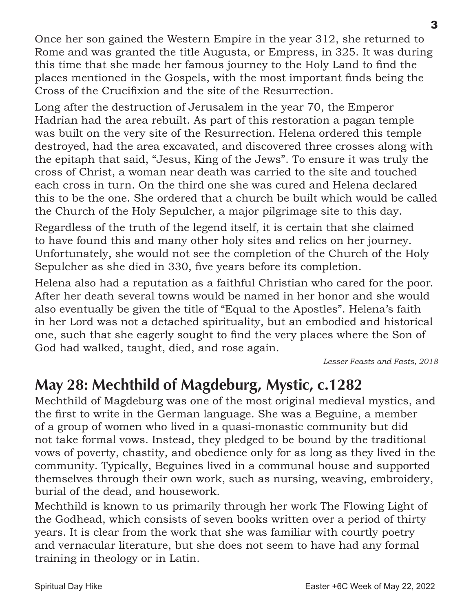Once her son gained the Western Empire in the year 312, she returned to Rome and was granted the title Augusta, or Empress, in 325. It was during this time that she made her famous journey to the Holy Land to find the places mentioned in the Gospels, with the most important finds being the Cross of the Crucifixion and the site of the Resurrection.

Long after the destruction of Jerusalem in the year 70, the Emperor Hadrian had the area rebuilt. As part of this restoration a pagan temple was built on the very site of the Resurrection. Helena ordered this temple destroyed, had the area excavated, and discovered three crosses along with the epitaph that said, "Jesus, King of the Jews". To ensure it was truly the cross of Christ, a woman near death was carried to the site and touched each cross in turn. On the third one she was cured and Helena declared this to be the one. She ordered that a church be built which would be called the Church of the Holy Sepulcher, a major pilgrimage site to this day.

Regardless of the truth of the legend itself, it is certain that she claimed to have found this and many other holy sites and relics on her journey. Unfortunately, she would not see the completion of the Church of the Holy Sepulcher as she died in 330, five years before its completion.

Helena also had a reputation as a faithful Christian who cared for the poor. After her death several towns would be named in her honor and she would also eventually be given the title of "Equal to the Apostles". Helena's faith in her Lord was not a detached spirituality, but an embodied and historical one, such that she eagerly sought to find the very places where the Son of God had walked, taught, died, and rose again.

*Lesser Feasts and Fasts, 2018*

## May 28: Mechthild of Magdeburg, Mystic, c.1282

Mechthild of Magdeburg was one of the most original medieval mystics, and the first to write in the German language. She was a Beguine, a member of a group of women who lived in a quasi-monastic community but did not take formal vows. Instead, they pledged to be bound by the traditional vows of poverty, chastity, and obedience only for as long as they lived in the community. Typically, Beguines lived in a communal house and supported themselves through their own work, such as nursing, weaving, embroidery, burial of the dead, and housework.

Mechthild is known to us primarily through her work The Flowing Light of the Godhead, which consists of seven books written over a period of thirty years. It is clear from the work that she was familiar with courtly poetry and vernacular literature, but she does not seem to have had any formal training in theology or in Latin.